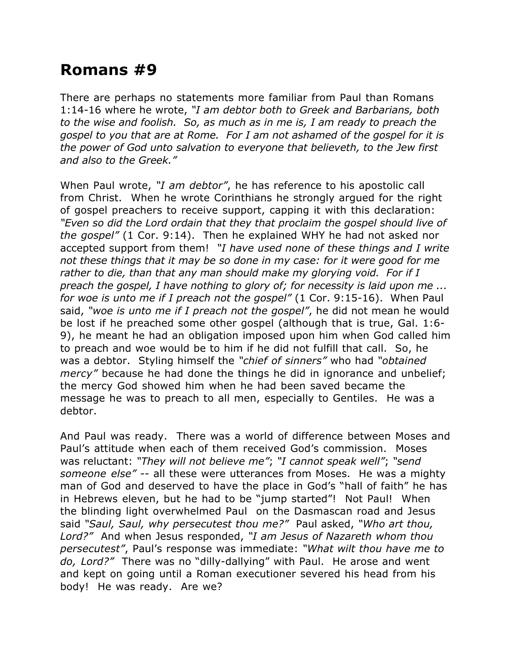## **Romans #9**

There are perhaps no statements more familiar from Paul than Romans 1:14-16 where he wrote, *"I am debtor both to Greek and Barbarians, both to the wise and foolish. So, as much as in me is, I am ready to preach the gospel to you that are at Rome. For I am not ashamed of the gospel for it is the power of God unto salvation to everyone that believeth, to the Jew first and also to the Greek."*

When Paul wrote, *"I am debtor"*, he has reference to his apostolic call from Christ. When he wrote Corinthians he strongly argued for the right of gospel preachers to receive support, capping it with this declaration: *"Even so did the Lord ordain that they that proclaim the gospel should live of the gospel"* (1 Cor. 9:14). Then he explained WHY he had not asked nor accepted support from them! *"I have used none of these things and I write not these things that it may be so done in my case: for it were good for me rather to die, than that any man should make my glorying void. For if I preach the gospel, I have nothing to glory of; for necessity is laid upon me ... for woe is unto me if I preach not the gospel"* (1 Cor. 9:15-16). When Paul said, *"woe is unto me if I preach not the gospel"*, he did not mean he would be lost if he preached some other gospel (although that is true, Gal. 1:6- 9), he meant he had an obligation imposed upon him when God called him to preach and woe would be to him if he did not fulfill that call. So, he was a debtor. Styling himself the *"chief of sinners"* who had *"obtained mercy"* because he had done the things he did in ignorance and unbelief; the mercy God showed him when he had been saved became the message he was to preach to all men, especially to Gentiles. He was a debtor.

And Paul was ready. There was a world of difference between Moses and Paul's attitude when each of them received God's commission. Moses was reluctant: *"They will not believe me"*; *"I cannot speak well"*; *"send someone else"* -- all these were utterances from Moses. He was a mighty man of God and deserved to have the place in God's "hall of faith" he has in Hebrews eleven, but he had to be "jump started"! Not Paul! When the blinding light overwhelmed Paul on the Dasmascan road and Jesus said *"Saul, Saul, why persecutest thou me?"* Paul asked, *"Who art thou, Lord?"* And when Jesus responded, *"I am Jesus of Nazareth whom thou persecutest"*, Paul's response was immediate: *"What wilt thou have me to do, Lord?"* There was no "dilly-dallying" with Paul. He arose and went and kept on going until a Roman executioner severed his head from his body! He was ready. Are we?